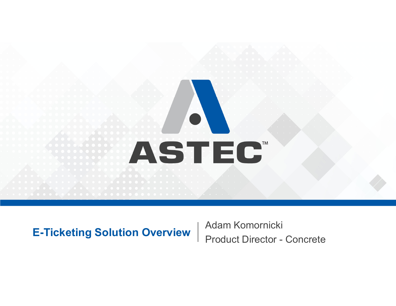# **ASTEC**

**E-Ticketing Solution Overview** | Adam Komornicki | Product Director - Concrete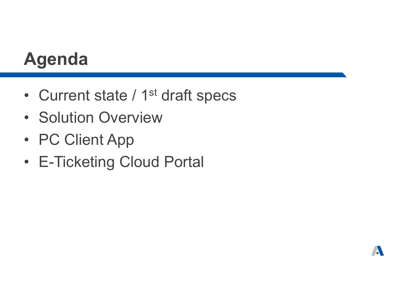## **Agenda**

- •Current state / 1<sup>st</sup> draft specs
- Solution Overview
- PC Client App
- E-Ticketing Cloud Portal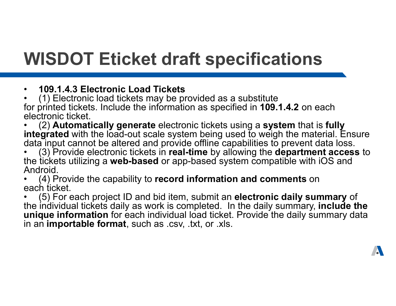## **WISDOT Eticket draft specifications**

#### •**109.1.4.3 Electronic Load Tickets**

• (1) Electronic load tickets may be provided as a substitute for printed tickets. Include the information as specified in **109.1.4.2** on each electronic ticket.

• (2) **Automatically generate** electronic tickets using a **system** that is **fully integrated** with the load-out scale system being used to weigh the material. Ensure data input cannot be altered and provide offline capabilities to prevent data loss.

• (3) Provide electronic tickets in **real-time** by allowing the **department access** to the tickets utilizing a **web-based** or app-based system compatible with iOS and Android.

• (4) Provide the capability to **record information and comments** on each ticket.

• (5) For each project ID and bid item, submit an **electronic daily summary** of the individual tickets daily as work is completed. In the daily summary, **include the unique information** for each individual load ticket. Provide the daily summary data in an **importable format**, such as .csv, .txt, or .xls.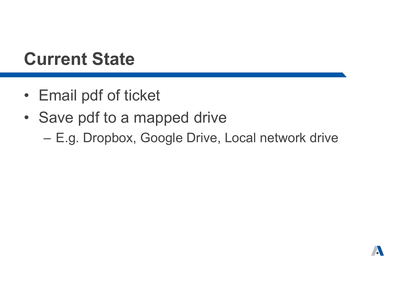#### **Current State**

- Email pdf of ticket
- Save pdf to a mapped drive
	- –E.g. Dropbox, Google Drive, Local network drive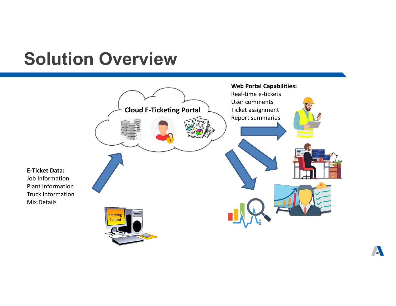#### **Solution Overview**

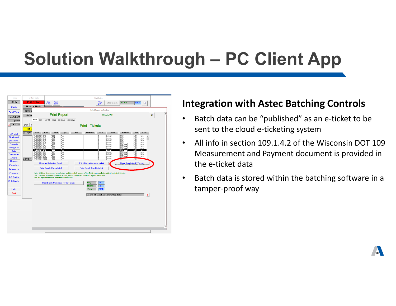## **Solution Walkthrough – PC Client App**

| <b>PLC Offline</b><br>Clear<br>Batch<br>View<br>Reset<br>Batch<br><b>Air Mix</b><br>100.%<br><b>Start Batch</b><br>n+<br>Batch<br><b>Manual Mode</b><br><b>Select Report for Printing</b><br>Batch<br><b>Print Report</b><br>10/22/2021<br>Q.<br>Auto<br>Ticket Daily<br>Monthly Yearly Get Usage Mixer Usage<br>yards<br>Lwr<br><b>Print</b> Tickets<br>Tilt I<br>Ticket<br><b>Units</b><br>M1 Wtr<br><b>Date</b><br>Time<br>Type<br>Job<br>Customer<br>Truck<br>Driver<br>Formula<br>Load<br>1295<br>10/22/2021 9:17<br>0<br>00124<br>2.00<br>Auto<br>Dameon<br>vards<br>10/22/2021 9:16<br>1294<br>00124<br>Auto<br>0<br>Dameon<br>2.00<br>yards<br>10/22/2021 9:15<br>1293<br>$\mathbf{0}$<br>00124<br>7.00<br>Auto<br>Dameon<br>vards<br>10/22/2021 9:12<br>1292<br>0<br>00124<br>3.00<br>Auto<br>Dameon<br>yards<br>10/22/2021 9:11<br>$\theta$<br>9.00<br>1291<br>Auto<br>Dameon<br>00124agg3<br>yards<br>10/22/2021 9:10<br>1290<br>$\theta$<br>00124agg3<br>1.00<br>Auto<br>Dameon<br>vards<br><b>Job Stack</b><br>10/22/2021 9:09<br>1289<br>0<br>00124agg3<br>7.00<br>Auto<br>Dameon<br>yards<br>10/22/2021 9:06<br>00124agg3<br>2.00<br>1288<br>Auto<br>Dameon<br>yards<br><sub>0</sub><br>10/22/2021 9:04<br>00124agg3<br>2.00<br>1287<br>Auto<br>Dameon<br>0<br>vards<br>10/22/2021 9:03<br>$\theta$<br>1286<br>7.00<br>Auto<br>Dameon<br>00124agg3<br>yards<br><b>Customers</b><br>10/22/2021 9:02<br>1285<br>Auto<br>0<br>Dameon<br>00124agg3<br>7.00<br>yards<br><b>Trucks</b><br>$\mathbf{0}$<br>noso.<br>10/21/2021 15:25<br>1283<br>Auto<br>Dameon<br>Sand M<br><b>The</b><br><b>Drivers</b><br><b>Display Selected Batch</b><br><b>Print Batch (Actuals only)</b><br><b>Save Batch As E-Ticket</b><br><b>Formulas</b><br><b>Print Batch (Complete)</b><br><b>Print Batch (No Details)</b><br><b>Tolerance</b><br>Note: Multiple tickets can be selected and then click on one of the Print commands to print all selected tickets.<br><b>Products</b><br>Use Ctrl-Click to select individual tickets, or use Shift-Click to select a group of tickets.<br><b>PC Config</b><br>See the operator manual for further instructions.<br><b>PLC Config</b><br>Day:<br>22<br><b>Print Batch Summary for this date:</b><br>Month:<br>10<br>2021<br>Year:<br>Help<br>Quit<br>$\mathbf x$<br>Delete all Batches before this date > | Menu              | <b>System Status</b> |  |  | <b>Start Batch</b> |  |  |  |
|-----------------------------------------------------------------------------------------------------------------------------------------------------------------------------------------------------------------------------------------------------------------------------------------------------------------------------------------------------------------------------------------------------------------------------------------------------------------------------------------------------------------------------------------------------------------------------------------------------------------------------------------------------------------------------------------------------------------------------------------------------------------------------------------------------------------------------------------------------------------------------------------------------------------------------------------------------------------------------------------------------------------------------------------------------------------------------------------------------------------------------------------------------------------------------------------------------------------------------------------------------------------------------------------------------------------------------------------------------------------------------------------------------------------------------------------------------------------------------------------------------------------------------------------------------------------------------------------------------------------------------------------------------------------------------------------------------------------------------------------------------------------------------------------------------------------------------------------------------------------------------------------------------------------------------------------------------------------------------------------------------------------------------------------------------------------------------------------------------------------------------------------------------------------------------------------------------------------------------------------------------------------------------------------------------------------------------------------------|-------------------|----------------------|--|--|--------------------|--|--|--|
|                                                                                                                                                                                                                                                                                                                                                                                                                                                                                                                                                                                                                                                                                                                                                                                                                                                                                                                                                                                                                                                                                                                                                                                                                                                                                                                                                                                                                                                                                                                                                                                                                                                                                                                                                                                                                                                                                                                                                                                                                                                                                                                                                                                                                                                                                                                                               | 09:47             |                      |  |  |                    |  |  |  |
|                                                                                                                                                                                                                                                                                                                                                                                                                                                                                                                                                                                                                                                                                                                                                                                                                                                                                                                                                                                                                                                                                                                                                                                                                                                                                                                                                                                                                                                                                                                                                                                                                                                                                                                                                                                                                                                                                                                                                                                                                                                                                                                                                                                                                                                                                                                                               | <b>Batch</b>      |                      |  |  |                    |  |  |  |
|                                                                                                                                                                                                                                                                                                                                                                                                                                                                                                                                                                                                                                                                                                                                                                                                                                                                                                                                                                                                                                                                                                                                                                                                                                                                                                                                                                                                                                                                                                                                                                                                                                                                                                                                                                                                                                                                                                                                                                                                                                                                                                                                                                                                                                                                                                                                               | <b>BatchView</b>  |                      |  |  |                    |  |  |  |
|                                                                                                                                                                                                                                                                                                                                                                                                                                                                                                                                                                                                                                                                                                                                                                                                                                                                                                                                                                                                                                                                                                                                                                                                                                                                                                                                                                                                                                                                                                                                                                                                                                                                                                                                                                                                                                                                                                                                                                                                                                                                                                                                                                                                                                                                                                                                               | 15,761.80         |                      |  |  |                    |  |  |  |
|                                                                                                                                                                                                                                                                                                                                                                                                                                                                                                                                                                                                                                                                                                                                                                                                                                                                                                                                                                                                                                                                                                                                                                                                                                                                                                                                                                                                                                                                                                                                                                                                                                                                                                                                                                                                                                                                                                                                                                                                                                                                                                                                                                                                                                                                                                                                               |                   |                      |  |  |                    |  |  |  |
|                                                                                                                                                                                                                                                                                                                                                                                                                                                                                                                                                                                                                                                                                                                                                                                                                                                                                                                                                                                                                                                                                                                                                                                                                                                                                                                                                                                                                                                                                                                                                                                                                                                                                                                                                                                                                                                                                                                                                                                                                                                                                                                                                                                                                                                                                                                                               | # 2367<br>z       |                      |  |  |                    |  |  |  |
|                                                                                                                                                                                                                                                                                                                                                                                                                                                                                                                                                                                                                                                                                                                                                                                                                                                                                                                                                                                                                                                                                                                                                                                                                                                                                                                                                                                                                                                                                                                                                                                                                                                                                                                                                                                                                                                                                                                                                                                                                                                                                                                                                                                                                                                                                                                                               |                   |                      |  |  |                    |  |  |  |
|                                                                                                                                                                                                                                                                                                                                                                                                                                                                                                                                                                                                                                                                                                                                                                                                                                                                                                                                                                                                                                                                                                                                                                                                                                                                                                                                                                                                                                                                                                                                                                                                                                                                                                                                                                                                                                                                                                                                                                                                                                                                                                                                                                                                                                                                                                                                               | <b>Bin Map</b>    |                      |  |  |                    |  |  |  |
|                                                                                                                                                                                                                                                                                                                                                                                                                                                                                                                                                                                                                                                                                                                                                                                                                                                                                                                                                                                                                                                                                                                                                                                                                                                                                                                                                                                                                                                                                                                                                                                                                                                                                                                                                                                                                                                                                                                                                                                                                                                                                                                                                                                                                                                                                                                                               | <b>Silo Level</b> |                      |  |  |                    |  |  |  |
|                                                                                                                                                                                                                                                                                                                                                                                                                                                                                                                                                                                                                                                                                                                                                                                                                                                                                                                                                                                                                                                                                                                                                                                                                                                                                                                                                                                                                                                                                                                                                                                                                                                                                                                                                                                                                                                                                                                                                                                                                                                                                                                                                                                                                                                                                                                                               | Incoming          |                      |  |  |                    |  |  |  |
|                                                                                                                                                                                                                                                                                                                                                                                                                                                                                                                                                                                                                                                                                                                                                                                                                                                                                                                                                                                                                                                                                                                                                                                                                                                                                                                                                                                                                                                                                                                                                                                                                                                                                                                                                                                                                                                                                                                                                                                                                                                                                                                                                                                                                                                                                                                                               | <b>Reports</b>    |                      |  |  |                    |  |  |  |
|                                                                                                                                                                                                                                                                                                                                                                                                                                                                                                                                                                                                                                                                                                                                                                                                                                                                                                                                                                                                                                                                                                                                                                                                                                                                                                                                                                                                                                                                                                                                                                                                                                                                                                                                                                                                                                                                                                                                                                                                                                                                                                                                                                                                                                                                                                                                               |                   |                      |  |  |                    |  |  |  |
|                                                                                                                                                                                                                                                                                                                                                                                                                                                                                                                                                                                                                                                                                                                                                                                                                                                                                                                                                                                                                                                                                                                                                                                                                                                                                                                                                                                                                                                                                                                                                                                                                                                                                                                                                                                                                                                                                                                                                                                                                                                                                                                                                                                                                                                                                                                                               | <b>Jobs</b>       |                      |  |  |                    |  |  |  |
|                                                                                                                                                                                                                                                                                                                                                                                                                                                                                                                                                                                                                                                                                                                                                                                                                                                                                                                                                                                                                                                                                                                                                                                                                                                                                                                                                                                                                                                                                                                                                                                                                                                                                                                                                                                                                                                                                                                                                                                                                                                                                                                                                                                                                                                                                                                                               |                   |                      |  |  |                    |  |  |  |
|                                                                                                                                                                                                                                                                                                                                                                                                                                                                                                                                                                                                                                                                                                                                                                                                                                                                                                                                                                                                                                                                                                                                                                                                                                                                                                                                                                                                                                                                                                                                                                                                                                                                                                                                                                                                                                                                                                                                                                                                                                                                                                                                                                                                                                                                                                                                               |                   |                      |  |  |                    |  |  |  |
|                                                                                                                                                                                                                                                                                                                                                                                                                                                                                                                                                                                                                                                                                                                                                                                                                                                                                                                                                                                                                                                                                                                                                                                                                                                                                                                                                                                                                                                                                                                                                                                                                                                                                                                                                                                                                                                                                                                                                                                                                                                                                                                                                                                                                                                                                                                                               |                   |                      |  |  |                    |  |  |  |
|                                                                                                                                                                                                                                                                                                                                                                                                                                                                                                                                                                                                                                                                                                                                                                                                                                                                                                                                                                                                                                                                                                                                                                                                                                                                                                                                                                                                                                                                                                                                                                                                                                                                                                                                                                                                                                                                                                                                                                                                                                                                                                                                                                                                                                                                                                                                               |                   |                      |  |  |                    |  |  |  |
|                                                                                                                                                                                                                                                                                                                                                                                                                                                                                                                                                                                                                                                                                                                                                                                                                                                                                                                                                                                                                                                                                                                                                                                                                                                                                                                                                                                                                                                                                                                                                                                                                                                                                                                                                                                                                                                                                                                                                                                                                                                                                                                                                                                                                                                                                                                                               |                   |                      |  |  |                    |  |  |  |
|                                                                                                                                                                                                                                                                                                                                                                                                                                                                                                                                                                                                                                                                                                                                                                                                                                                                                                                                                                                                                                                                                                                                                                                                                                                                                                                                                                                                                                                                                                                                                                                                                                                                                                                                                                                                                                                                                                                                                                                                                                                                                                                                                                                                                                                                                                                                               |                   |                      |  |  |                    |  |  |  |
|                                                                                                                                                                                                                                                                                                                                                                                                                                                                                                                                                                                                                                                                                                                                                                                                                                                                                                                                                                                                                                                                                                                                                                                                                                                                                                                                                                                                                                                                                                                                                                                                                                                                                                                                                                                                                                                                                                                                                                                                                                                                                                                                                                                                                                                                                                                                               |                   |                      |  |  |                    |  |  |  |
|                                                                                                                                                                                                                                                                                                                                                                                                                                                                                                                                                                                                                                                                                                                                                                                                                                                                                                                                                                                                                                                                                                                                                                                                                                                                                                                                                                                                                                                                                                                                                                                                                                                                                                                                                                                                                                                                                                                                                                                                                                                                                                                                                                                                                                                                                                                                               |                   |                      |  |  |                    |  |  |  |
|                                                                                                                                                                                                                                                                                                                                                                                                                                                                                                                                                                                                                                                                                                                                                                                                                                                                                                                                                                                                                                                                                                                                                                                                                                                                                                                                                                                                                                                                                                                                                                                                                                                                                                                                                                                                                                                                                                                                                                                                                                                                                                                                                                                                                                                                                                                                               |                   |                      |  |  |                    |  |  |  |
|                                                                                                                                                                                                                                                                                                                                                                                                                                                                                                                                                                                                                                                                                                                                                                                                                                                                                                                                                                                                                                                                                                                                                                                                                                                                                                                                                                                                                                                                                                                                                                                                                                                                                                                                                                                                                                                                                                                                                                                                                                                                                                                                                                                                                                                                                                                                               |                   |                      |  |  |                    |  |  |  |
|                                                                                                                                                                                                                                                                                                                                                                                                                                                                                                                                                                                                                                                                                                                                                                                                                                                                                                                                                                                                                                                                                                                                                                                                                                                                                                                                                                                                                                                                                                                                                                                                                                                                                                                                                                                                                                                                                                                                                                                                                                                                                                                                                                                                                                                                                                                                               |                   |                      |  |  |                    |  |  |  |
|                                                                                                                                                                                                                                                                                                                                                                                                                                                                                                                                                                                                                                                                                                                                                                                                                                                                                                                                                                                                                                                                                                                                                                                                                                                                                                                                                                                                                                                                                                                                                                                                                                                                                                                                                                                                                                                                                                                                                                                                                                                                                                                                                                                                                                                                                                                                               |                   |                      |  |  |                    |  |  |  |
|                                                                                                                                                                                                                                                                                                                                                                                                                                                                                                                                                                                                                                                                                                                                                                                                                                                                                                                                                                                                                                                                                                                                                                                                                                                                                                                                                                                                                                                                                                                                                                                                                                                                                                                                                                                                                                                                                                                                                                                                                                                                                                                                                                                                                                                                                                                                               |                   |                      |  |  |                    |  |  |  |
|                                                                                                                                                                                                                                                                                                                                                                                                                                                                                                                                                                                                                                                                                                                                                                                                                                                                                                                                                                                                                                                                                                                                                                                                                                                                                                                                                                                                                                                                                                                                                                                                                                                                                                                                                                                                                                                                                                                                                                                                                                                                                                                                                                                                                                                                                                                                               |                   |                      |  |  |                    |  |  |  |
|                                                                                                                                                                                                                                                                                                                                                                                                                                                                                                                                                                                                                                                                                                                                                                                                                                                                                                                                                                                                                                                                                                                                                                                                                                                                                                                                                                                                                                                                                                                                                                                                                                                                                                                                                                                                                                                                                                                                                                                                                                                                                                                                                                                                                                                                                                                                               |                   |                      |  |  |                    |  |  |  |
|                                                                                                                                                                                                                                                                                                                                                                                                                                                                                                                                                                                                                                                                                                                                                                                                                                                                                                                                                                                                                                                                                                                                                                                                                                                                                                                                                                                                                                                                                                                                                                                                                                                                                                                                                                                                                                                                                                                                                                                                                                                                                                                                                                                                                                                                                                                                               |                   |                      |  |  |                    |  |  |  |
|                                                                                                                                                                                                                                                                                                                                                                                                                                                                                                                                                                                                                                                                                                                                                                                                                                                                                                                                                                                                                                                                                                                                                                                                                                                                                                                                                                                                                                                                                                                                                                                                                                                                                                                                                                                                                                                                                                                                                                                                                                                                                                                                                                                                                                                                                                                                               |                   |                      |  |  |                    |  |  |  |
|                                                                                                                                                                                                                                                                                                                                                                                                                                                                                                                                                                                                                                                                                                                                                                                                                                                                                                                                                                                                                                                                                                                                                                                                                                                                                                                                                                                                                                                                                                                                                                                                                                                                                                                                                                                                                                                                                                                                                                                                                                                                                                                                                                                                                                                                                                                                               |                   |                      |  |  |                    |  |  |  |
|                                                                                                                                                                                                                                                                                                                                                                                                                                                                                                                                                                                                                                                                                                                                                                                                                                                                                                                                                                                                                                                                                                                                                                                                                                                                                                                                                                                                                                                                                                                                                                                                                                                                                                                                                                                                                                                                                                                                                                                                                                                                                                                                                                                                                                                                                                                                               |                   |                      |  |  |                    |  |  |  |
|                                                                                                                                                                                                                                                                                                                                                                                                                                                                                                                                                                                                                                                                                                                                                                                                                                                                                                                                                                                                                                                                                                                                                                                                                                                                                                                                                                                                                                                                                                                                                                                                                                                                                                                                                                                                                                                                                                                                                                                                                                                                                                                                                                                                                                                                                                                                               |                   |                      |  |  |                    |  |  |  |
|                                                                                                                                                                                                                                                                                                                                                                                                                                                                                                                                                                                                                                                                                                                                                                                                                                                                                                                                                                                                                                                                                                                                                                                                                                                                                                                                                                                                                                                                                                                                                                                                                                                                                                                                                                                                                                                                                                                                                                                                                                                                                                                                                                                                                                                                                                                                               |                   |                      |  |  |                    |  |  |  |
|                                                                                                                                                                                                                                                                                                                                                                                                                                                                                                                                                                                                                                                                                                                                                                                                                                                                                                                                                                                                                                                                                                                                                                                                                                                                                                                                                                                                                                                                                                                                                                                                                                                                                                                                                                                                                                                                                                                                                                                                                                                                                                                                                                                                                                                                                                                                               |                   |                      |  |  |                    |  |  |  |

#### **Integration with Astec Batching Controls**

- $\bullet$ • Batch data can be "published" as an e-ticket to be sent to the cloud <sup>e</sup>‐ticketing system
- $\bullet$  All info in section 109.1.4.2 of the Wisconsin DOT 109 Measurement and Payment document is provided in the e-ticket data
- $\bullet$ • Batch data is stored within the batching software in a tamper‐proof way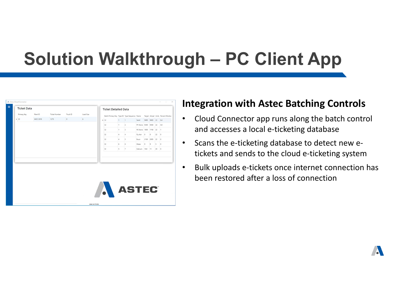## **Solution Walkthrough – PC Client App**

|   | A Astec Cloud Connector |          |               |          |                  |                                                                                  |          |               |                           |         |                |      | - 10<br>$\times$<br>$\sim$ |
|---|-------------------------|----------|---------------|----------|------------------|----------------------------------------------------------------------------------|----------|---------------|---------------------------|---------|----------------|------|----------------------------|
| Ξ | <b>Ticket Data</b>      |          |               |          |                  | <b>Ticket Detailed Data</b>                                                      |          |               |                           |         |                |      |                            |
|   | Primary Key             | Plant ID | Ticket Number | Truck ID | Load Size        | Batch Primary Key Type ID Type Sequence Name Target Actual Units Percent Moistur |          |               |                           |         |                |      |                            |
|   | $\frac{1}{32}$          | WOC 2019 | 1275          | $\circ$  | 6                | $+ 32$                                                                           |          | $\mathbb{R}$  | Sand 9490 9400 22 6.4     |         |                |      |                            |
|   |                         |          |               |          |                  | 32                                                                               | n.       | $\vert$ 2     | #1 Stone 9340 9360 22 4.8 |         |                |      |                            |
|   |                         |          |               |          |                  | 32                                                                               | n.       | $\vert$ 3     | #2 Stone 1800 1740 22 1   |         |                |      |                            |
|   |                         |          |               |          |                  | 32                                                                               | $\Delta$ | A.            | Fly Ash 0                 |         | $\circ$        | 2200 |                            |
|   |                         |          |               |          |                  | 32                                                                               | $\Delta$ | ls.           | Buzzi                     |         | 2100 2095 22 0 |      |                            |
|   |                         |          |               |          |                  | 32                                                                               | 6        | 6             | Water                     | $\circ$ | <b>b</b>       | 50   |                            |
|   |                         |          |               |          |                  | 32                                                                               | 5        | $\frac{1}{2}$ | Calcium 10.8 11 20 0      |         |                |      |                            |
|   |                         |          |               |          |                  |                                                                                  |          |               |                           |         |                |      |                            |
|   |                         |          |               |          |                  |                                                                                  |          |               |                           |         |                |      |                            |
|   |                         |          |               |          |                  |                                                                                  |          |               |                           |         |                |      |                            |
|   |                         |          |               |          |                  |                                                                                  |          |               |                           |         |                |      |                            |
|   |                         |          |               |          |                  |                                                                                  |          |               |                           |         |                |      |                            |
|   |                         |          |               |          |                  |                                                                                  |          |               |                           |         |                |      |                            |
|   |                         |          |               |          |                  |                                                                                  |          |               |                           |         |                |      |                            |
|   |                         |          |               |          |                  | ASTEC <sup>®</sup>                                                               |          |               |                           |         |                |      |                            |
|   |                         |          |               |          |                  |                                                                                  |          |               |                           |         |                |      |                            |
|   |                         |          |               |          | Airec Inc @ 2021 |                                                                                  |          |               |                           |         |                |      |                            |

#### **Integration with Astec Batching Controls**

- $\bullet$ • Cloud Connector app runs along the batch control and accesses a local <sup>e</sup>‐ticketing database
- $\bullet$ • Scans the e-ticketing database to detect new etickets and sends to the cloud <sup>e</sup>‐ticketing system
- •• Bulk uploads e-tickets once internet connection has been restored after a loss of connection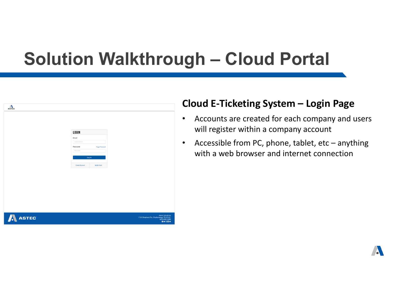

#### **Cloud E ‐Ticketing System – Login Page**

- • Accounts are created for each company and users will register within a company account
- • Accessible from PC, phone, tablet, etc – anything with a web browser and internet connection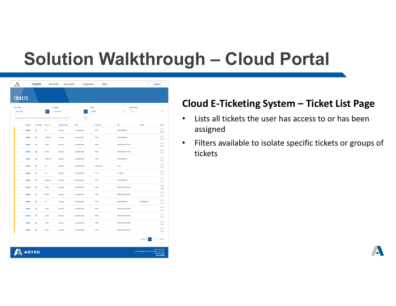| $\Lambda$            |                       | <b>TICKETS</b>           | <b>REPORTS</b> | <b>ACCOUNT</b>                                                                    | COMPANY        | HELP      |                        |                                         | Logout                                                     |
|----------------------|-----------------------|--------------------------|----------------|-----------------------------------------------------------------------------------|----------------|-----------|------------------------|-----------------------------------------|------------------------------------------------------------|
| <b>TICKETS</b>       |                       |                          |                |                                                                                   |                |           |                        |                                         |                                                            |
| <b>Start Date</b>    |                       |                          |                | <b>End Date</b>                                                                   |                | Plant     |                        | <b>Ticket Status</b>                    |                                                            |
| 12/01/2021           |                       |                          |                | 12/22/2021                                                                        |                | Select    | Select<br>$\checkmark$ |                                         | $\checkmark$                                               |
|                      |                       |                          |                | Search by Ticket No., Truck No., Delivery Type, Customer ID, Job ID, or Hauler ID | $\alpha$       |           |                        |                                         |                                                            |
|                      | $\downarrow$ Ticket # | Scan Type                | Truck #        | Delivery Type                                                                     | Plant          | Customer  | Job                    | Hauler                                  | Time                                                       |
| $\checkmark$         | 2738990               | 90                       | 225            | Inbound                                                                           | Columbia Plant | 10471     | CHAPIN PRESBY          |                                         | 12/13<br>12:10                                             |
| $\ddot{}$            | 738991                | 90                       | CAMP223        | Inbound                                                                           | Columbia Plant | 10471     | CHAPIN PRESBY          |                                         | 12/13<br>12/22                                             |
| $\checkmark$         | 738992                | 90                       | LABS0          | Inbound                                                                           | Columbia Plant | 15861     | WOODLANDS CROSS        |                                         | 12/13<br>12:28                                             |
| $\ddot{}$            | 738993                | 90                       | INLINE         | Inbound                                                                           | Columbia Plant | 15861     | WOODLANDS CROSS        |                                         | 12/13<br>12:42                                             |
| $\sim$               | 738994                | ĵπ,                      | CAMP224        | Inbound                                                                           | Columbia Plant | 10471     | CHAPIN PRESBY          |                                         | 12/13<br>12:45                                             |
| $\sim$               | 738995                | ×                        | 318            | Inbound                                                                           | Columbia Plant | CRJACKSON | 21031                  |                                         | 12/13<br>1250                                              |
| $\vee$               | 738996                | 90                       | LC6            | Inbound                                                                           | Columbia Plant | 11235     | P2100288               |                                         | 12/13<br>1251                                              |
| $\checkmark$         | 738997                | 90                       | CAMP222        | Inbound                                                                           | Columbia Plant | 10471     | <b>CHAPIN PRESBY</b>   |                                         | 12/13                                                      |
| $\ddot{}$            | 738998                | $\langle \alpha \rangle$ | LAB45          | Inbound                                                                           | Columbia Plant | 15861     | WOODLANDS CROSS        |                                         | 1253<br>12/13                                              |
|                      |                       |                          |                |                                                                                   |                |           |                        |                                         | 13.08<br>12/13                                             |
| $\sim$               | 738999                | 90                       | INLINE         | Inbound                                                                           | Columbia Plant | 15861     | WOODLANDS CROSS        |                                         | 13:14<br>12/13                                             |
| $\checkmark$         | 739000                | 減                        | 118            | Inbound                                                                           | Columbia Plant | 10471     | <b>CHAPIN PRESBY</b>   | CAMPENELLA                              | 13:16                                                      |
| $\checkmark$         | 739001                | 90                       | LAB16          | Inbound                                                                           | Columbia Plant | 15861     | WOODLANDS CROSS        |                                         | 12/13<br>13:20                                             |
| $\checkmark$         | @739002               | N                        | LAB33          | Inbound                                                                           | Columbia Plant | 15861     | WOODLANDS CROSS        |                                         | 12/13<br>13:23                                             |
| $\ddot{\phantom{0}}$ | 739003                | 90                       | <b>LAB27</b>   | Inbound                                                                           | Columbia Plant | 15861     | WOODLANDS CROSS        |                                         | 12/13<br>13:25                                             |
| $\ddot{}$            | 739004                | 90                       | LAB31          | Inbound                                                                           | Columbia Plant | 15861     | WOODLANDS CROSS        |                                         | 12/13<br>13:35                                             |
|                      |                       |                          |                |                                                                                   |                |           |                        | Previous                                | $3-1$<br>Next                                              |
|                      |                       |                          |                |                                                                                   |                |           |                        |                                         | 1-15 of 50                                                 |
|                      | <b>ASTEC</b>          |                          |                |                                                                                   |                |           |                        | 1725 Shepherd Rd, Chattanoega, TN 37421 | Astec Industries<br>(423) 899-5898<br>$0 \vee 0 \square 0$ |

#### **Cloud E ‐Ticketing System – Ticket List Page**

- • Lists all tickets the user has access to or has been assigned
- $\bullet$  Filters available to isolate specific tickets or groups of tickets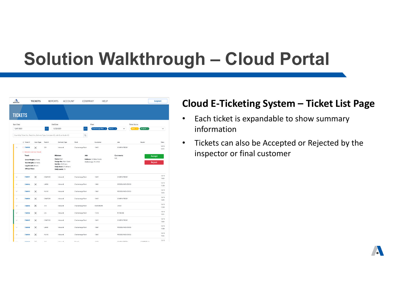| $\Lambda$               |                                                       | <b>TICKETS</b>                                  | <b>REPORTS</b> | <b>ACCOUNT</b>                                                                                            | COMPANY                                     | <b>HELP</b>                                        |                            |                   | Logout                         |
|-------------------------|-------------------------------------------------------|-------------------------------------------------|----------------|-----------------------------------------------------------------------------------------------------------|---------------------------------------------|----------------------------------------------------|----------------------------|-------------------|--------------------------------|
| <b>TICKETS</b>          |                                                       |                                                 |                |                                                                                                           |                                             |                                                    |                            |                   |                                |
| <b>Start Date</b>       |                                                       |                                                 |                | <b>End Date</b>                                                                                           |                                             | Plant                                              | <b>Ticket Status</b>       |                   |                                |
| 12/01/2021              |                                                       |                                                 | $\Box$         | 12/22/2021                                                                                                | m                                           | Chattanooga Plant x                                | Plant 8 $\times$<br>Open x | $Accepted \times$ | $\checkmark$                   |
|                         |                                                       |                                                 |                | Search by Ticket No., Truck No., Delivery Type, Customer ID, Job ID, or Hauler ID                         | $\hbox{\scriptsize\ensuremath{\mathsf{Q}}}$ |                                                    |                            |                   |                                |
|                         | $\downarrow$ Ticket #                                 | Scan Type                                       | Truck #        | Delivery Type                                                                                             | Plant                                       | Customer                                           | Job                        | Hauler            | Time                           |
| $\widehat{\phantom{a}}$ | <b>C</b> 738990                                       | Sû                                              | 225            | Inbound                                                                                                   | Chattanooga Plant                           | 10471                                              | <b>CHAPIN PRESBY</b>       |                   | 12/13<br>12:10                 |
|                         | <sup>1</sup> Barcode scan was missed.<br><b>Truck</b> |                                                 |                | <b>Mixture</b>                                                                                            | Job                                         |                                                    | Comments                   |                   |                                |
|                         | Legal Limit: 40 tons<br><b>Offload Time:</b>          | Gross Weight: 24 tons<br>Tare Weight: 3.97 tons |                | Name: Mat1<br>Design No.: Mat1 Code<br>Net Wt.: 20.03 tons<br>Daily Total: 270.08 tons<br>Daily Loads: 14 |                                             | Address: 123 Main Street,<br>Chattanooga, TN 37405 | N/A                        |                   | <b>Accept</b><br><b>Reject</b> |
| $\checkmark$            | 738991                                                | Ж.                                              | CAMP223        | Inbound                                                                                                   | Chattanooga Plant                           | 10471                                              | CHAPIN PRESBY              |                   | 12/13<br>12:22                 |
| $\checkmark$            | 738992                                                | 冥                                               | <b>LAB50</b>   | Inbound                                                                                                   | Chattanooga Plant                           | 15861                                              | WOODLANDS CROSS            |                   | 12/13<br>12:28                 |
| $\checkmark$            | 738993                                                | 冥                                               | INLINE         | Inbound                                                                                                   | Chattanooga Plant                           | 15861                                              | WOODLANDS CROSS            |                   | 12/13<br>12:42                 |
| $\checkmark$            | 738994                                                | ЭÈ.                                             | CAMP224        | Inbound                                                                                                   | Chattanooga Plant                           | 10471                                              | CHAPIN PRESBY              |                   | 12/13<br>12:45                 |
| $\checkmark$            | 738995                                                | 'n.                                             | 318            | Inbound                                                                                                   | Chattanooga Plant                           | CRJACKSON                                          | 21031                      |                   | 12/13<br>12:50                 |
| $\checkmark$            | 738996                                                | 冥                                               | LC6            | Inbound                                                                                                   | Chattanooga Plant                           | 11235                                              | P2100288                   |                   | 12/13<br>12:51                 |
| $\checkmark$            | 738997                                                | ЭĒ                                              | CAMP222        | Inbound                                                                                                   | Chattanooga Plant                           | 10471                                              | CHAPIN PRESBY              |                   | 12/13<br>12:53                 |
| $\checkmark$            | 738998                                                | 冥                                               | LAB45          | Inbound                                                                                                   | Chattanooga Plant                           | 15861                                              | WOODLANDS CROSS            |                   | 12/13<br>13:08                 |
| $\checkmark$            | 738999                                                | ×                                               | INLINE         | Inbound                                                                                                   | Chattanooga Plant                           | 15861                                              | WOODLANDS CROSS            |                   | 12/13<br>13:14                 |
| $\sim$                  | Thomas                                                | $^{c.3}$                                        | 110            | <b>Industries</b>                                                                                         | Diama G                                     | 10471                                              | CHAOIN DOCCRY              | CAMPENELLA        | 12/13                          |

#### **Cloud E ‐Ticketing System – Ticket List Page**

- •• Each ticket is expandable to show summary information
- $\bullet$  Tickets can also be Accepted or Rejected by the inspector or final customer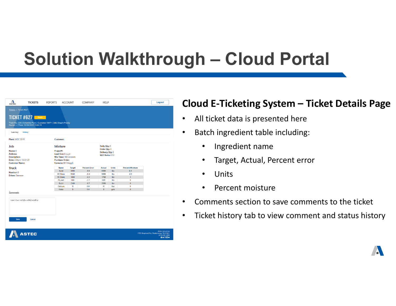•

| А<br><b>ASTEC</b>                                                                                          | <b>TICKETS</b>                                                                                                                       | <b>REPORTS</b>              | <b>ACCOUNT</b>                                                                                                                      | COMPANY                                                      | <b>HELP</b>                                                               |                                                 |                                                                                                 | Logout                                                                                     |
|------------------------------------------------------------------------------------------------------------|--------------------------------------------------------------------------------------------------------------------------------------|-----------------------------|-------------------------------------------------------------------------------------------------------------------------------------|--------------------------------------------------------------|---------------------------------------------------------------------------|-------------------------------------------------|-------------------------------------------------------------------------------------------------|--------------------------------------------------------------------------------------------|
| Tickets / Ticket #627                                                                                      | TICKET #627 POPER<br>Truck No.: 225   Columbia Plant   Customer 10471   Job: Chapin Presby<br>Hauler: --   Time: 12/09/2021 15:44:18 |                             |                                                                                                                                     |                                                              |                                                                           |                                                 |                                                                                                 |                                                                                            |
| Summary                                                                                                    | History                                                                                                                              |                             |                                                                                                                                     |                                                              |                                                                           |                                                 |                                                                                                 |                                                                                            |
| Plant: WOC 2019                                                                                            |                                                                                                                                      | <b>Customer:</b>            |                                                                                                                                     |                                                              |                                                                           |                                                 |                                                                                                 |                                                                                            |
| Job<br>Name: 0<br><b>Address:</b><br><b>Description:</b><br>Date: 3:06pm 10/21/21<br><b>Customer Name:</b> |                                                                                                                                      | <b>Mixture</b><br>Project#: | Load Size: 6 cuyd<br>Mix Time: 168 seconds<br><b>Purchase Order:</b><br>Formula: 00124aqq3                                          |                                                              | Daily Qty: 0<br>Order Qty: 0<br>Delivery Qty: 0<br><b>W/C Ratio: 0.32</b> |                                                 |                                                                                                 |                                                                                            |
| <b>Truck</b>                                                                                               |                                                                                                                                      |                             | Name<br><b>Target</b>                                                                                                               | <b>Percent Error</b>                                         | Actual                                                                    | <b>Units</b>                                    | <b>Percent Moisture</b>                                                                         |                                                                                            |
| Number: 0<br><b>Driver: Dameon</b>                                                                         |                                                                                                                                      |                             | 9490<br>Sand<br>#1 Stone<br>9340<br>1800<br>#2 Stone<br>Fly Ash<br>900<br>2100<br>Buzzi<br>11<br>Calcium<br>$\overline{9}$<br>Water | $-0.9$<br>$-0.4$<br>$-2.2$<br>$-1.7$<br>$-0.7$<br>0.0<br>0.0 | 9400<br>9300<br>1760<br>885<br>2085<br>11<br>9                            | lbs<br>lbs<br>Ibs<br>Ibs<br>Ibs<br>floz<br>gals | 6.4<br>4.8<br>$\overline{1}$<br>$\ddot{\mathbf{0}}$<br>$\mathbf{0}$<br>$\bf{0}$<br>$\mathbf{0}$ |                                                                                            |
| Comments                                                                                                   |                                                                                                                                      |                             |                                                                                                                                     |                                                              |                                                                           |                                                 |                                                                                                 |                                                                                            |
| Lorem i[sum siafsljfas safslkjf;asjkdf;az                                                                  |                                                                                                                                      |                             |                                                                                                                                     |                                                              |                                                                           |                                                 |                                                                                                 |                                                                                            |
| Save                                                                                                       | Cancel                                                                                                                               |                             |                                                                                                                                     |                                                              |                                                                           |                                                 |                                                                                                 |                                                                                            |
|                                                                                                            | <b>ASTEC</b>                                                                                                                         |                             |                                                                                                                                     |                                                              |                                                                           |                                                 |                                                                                                 | <b>Astec Industries</b><br>1725 Shepherd Rd, Chattanooga, TN 37421<br>(423) 899-5898<br>0V |

#### **Cloud E ‐Ticketing System – Ticket Details Page**

- $\bullet$ All ticket data is presented here
- •• Batch ingredient table including:
	- $\bullet$ Ingredient name
	- $\bullet$ Target, Actual, Percent error
	- •Units
	- •Percent moisture
- Comments section to save comments to the ticket
- •Ticket history tab to view comment and status history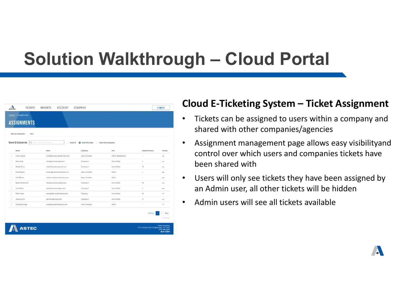| Λ<br><b>ASTEC</b>                                 | <b>TICKETS</b>     | <b>REPORTS</b><br><b>ACCOUNT</b> | COMPANY                     |                     |                                         | Logout                                                            |
|---------------------------------------------------|--------------------|----------------------------------|-----------------------------|---------------------|-----------------------------------------|-------------------------------------------------------------------|
| <b>Tickets / Assignments</b>                      | <b>ASSIGNMENTS</b> |                                  |                             |                     |                                         |                                                                   |
| Users & Companies<br><b>Users &amp; Companies</b> | <b>Rules</b>       | Q Search Users and Companies     | Show All<br>Show Only Users | Show Only Companies |                                         |                                                                   |
| Name                                              |                    | Email                            | Company                     | Role                | <b>Assigned Tickets</b>                 | <b>Actions</b>                                                    |
|                                                   | Carol Danvers      | caroldanvers@astecindustries.com | Astec Industries            | Admin, Weighmaster  | ×.                                      |                                                                   |
| Henry Pym                                         |                    | henrypym@company5.com            | Company 5                   | General User        | 4                                       |                                                                   |
| Robert Bruce<br>г                                 |                    | robert.bruce@company5.com        | Company 5                   | General User        | 19                                      |                                                                   |
| г<br><b>Steve Rogers</b>                          |                    | steverogers@astecindustries.com  | Astec Industries            | Admin               | à.                                      |                                                                   |
| $\Box$<br>Clint Barton                            |                    | clintbarton@astecindustries.com  | Astec Industries            | Admin               | $\sim$                                  |                                                                   |
| r                                                 | Natasha Romanoff   | natasharom@company2.com          | Company 2                   | General User        | 29                                      |                                                                   |
| ∩<br>Sam Wilson                                   |                    | samlwilson@company1.com          | Company 1                   | General User        | 3                                       |                                                                   |
| Peter Parker                                      |                    | peter.parker.nyc@company.com     | Company                     | General User        | 46                                      | $\cdots$                                                          |
| г<br>Jessica Jones                                |                    | jjones@copmany4.com              | Company 4                   | General User        | 17                                      |                                                                   |
|                                                   | Stephen Strange    | drstrange@astecindustries.com    | Astec Industries            | Admin               | $\overline{\phantom{a}}$                |                                                                   |
|                                                   |                    |                                  |                             |                     | Previous                                | Next<br>$\overline{2}$<br>1-10 of 356                             |
|                                                   | <b>ASTEC</b>       |                                  |                             |                     | 1725 Shepherd Rd, Chattanooga, TN 37421 | <b>Astec Industries</b><br>(423) 899-5898<br>$0$ y $0$ in $\circ$ |

#### **Cloud E ‐Ticketing System – Ticket Assignment**

- $\bullet$  Tickets can be assigned to users within a company and shared with other companies/agencies
- • Assignment management page allows easy visibilityand control over which users and companies tickets have been shared with
- $\bullet$  Users will only see tickets they have been assigned by an Admin user, all other tickets will be hidden
- •Admin users will see all tickets available

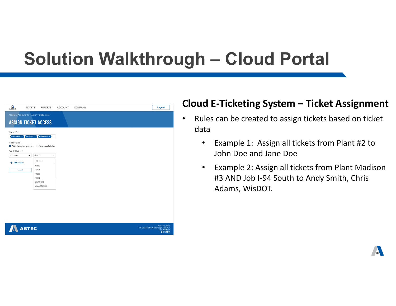| $\Lambda$                                           | <b>TICKETS</b> | <b>REPORTS</b>                               | <b>ACCOUNT</b> | COMPANY | Logout                                                                                                        |
|-----------------------------------------------------|----------------|----------------------------------------------|----------------|---------|---------------------------------------------------------------------------------------------------------------|
|                                                     |                | Tickets / Assignments / Assign Ticket Access |                |         |                                                                                                               |
|                                                     |                | <b>ASSIGN TICKET ACCESS</b>                  |                |         |                                                                                                               |
| Assigned To                                         |                |                                              |                |         |                                                                                                               |
| Carol Danvers X<br><b>Type of Access</b>            | Henry Pym ×    | Robert Bruce $\times$                        |                |         |                                                                                                               |
| Add ticket assignment rules<br>Add all tickets with |                | Assign specific tickets                      |                |         |                                                                                                               |
| Customer                                            | $\checkmark$   | Select_<br>$\check{~}$                       |                |         |                                                                                                               |
| + Add Condition                                     |                | Q Search<br>08562                            |                |         |                                                                                                               |
| Cancel                                              |                | 10471<br>11235                               |                |         |                                                                                                               |
|                                                     |                | 15861                                        |                |         |                                                                                                               |
|                                                     |                | CRJACKSON                                    |                |         |                                                                                                               |
|                                                     |                | CWMATTHEWS                                   |                |         |                                                                                                               |
|                                                     |                |                                              |                |         |                                                                                                               |
|                                                     |                |                                              |                |         |                                                                                                               |
|                                                     |                |                                              |                |         |                                                                                                               |
|                                                     |                |                                              |                |         |                                                                                                               |
|                                                     |                |                                              |                |         |                                                                                                               |
|                                                     |                |                                              |                |         |                                                                                                               |
|                                                     |                |                                              |                |         |                                                                                                               |
|                                                     | <b>ASTEC</b>   |                                              |                |         | Astec Industries<br>1725 Shepherd Rd, Chattanooga, TN 37421<br>$(423) 899 - 5898$<br>$O$ $\times$ $O$ $O$ $O$ |

#### **Cloud E ‐Ticketing System – Ticket Assignment**

- $\bullet$ • Rules can be created to assign tickets based on ticket data
	- $\bullet$  Example 1: Assign all tickets from Plant #2 to John Doe and Jane Doe
	- $\bullet$  Example 2: Assign all tickets from Plant Madison #3 AND Job I‐94 South to Andy Smith, Chris Adams, WisDOT.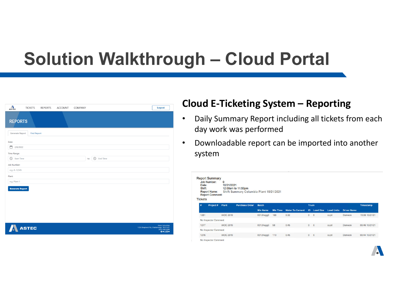| $\Lambda$                                                                    | <b>TICKETS</b>     | <b>REPORTS</b> | <b>ACCOUNT</b> | COMPANY |                     | Logout                                                                                        |
|------------------------------------------------------------------------------|--------------------|----------------|----------------|---------|---------------------|-----------------------------------------------------------------------------------------------|
| <b>REPORTS</b>                                                               |                    |                |                |         |                     |                                                                                               |
| <b>Generate Report</b>                                                       | <b>Find Report</b> |                |                |         |                     |                                                                                               |
| Date:<br>▭<br>2/8/2022<br><b>Time Range:</b><br>$\circledcirc$<br>Start Time |                    |                |                | to      | $\odot$<br>End Time |                                                                                               |
| Job Number:<br>e.g. A-12345                                                  |                    |                |                |         |                     |                                                                                               |
| Plant:                                                                       |                    |                |                |         |                     |                                                                                               |
| e.g. Plant 1                                                                 |                    |                |                |         |                     |                                                                                               |
| <b>Generate Report</b>                                                       |                    |                |                |         |                     |                                                                                               |
|                                                                              |                    |                |                |         |                     |                                                                                               |
|                                                                              |                    |                |                |         |                     |                                                                                               |
|                                                                              |                    |                |                |         |                     |                                                                                               |
|                                                                              | <b>ASTEC</b>       |                |                |         |                     | Astec Industries<br>1725 Shepherd Rd, Chattanooga, TN 37421<br>(423) 899-5898<br>$0$ y $@$ mo |

#### **Cloud E ‐Ticketing System – Reporting**

- $\bullet$  Daily Summary Report including all tickets from each day work was performed
- • Downloadable report can be imported into another system

| Date:<br>Shift:<br><b>Tickets</b> | <b>Report Summary</b><br><b>Job Number:</b><br><b>Report Name:</b><br><b>Report Comment:</b> | $\mathbf{O}$<br>10/21/2021 | 12:00am to 11:59pm<br>Shift Summary Columbia Plant 10/21/2021 |                 |                 |                        |                |                  |                   |                    |                |
|-----------------------------------|----------------------------------------------------------------------------------------------|----------------------------|---------------------------------------------------------------|-----------------|-----------------|------------------------|----------------|------------------|-------------------|--------------------|----------------|
| #                                 | Project#                                                                                     | Plant                      | <b>Purchase Order</b>                                         | <b>Batch</b>    |                 |                        | <b>Truck</b>   |                  |                   |                    | Timestamp      |
|                                   |                                                                                              |                            |                                                               | <b>Mix Name</b> | <b>Mix Time</b> | <b>Water To Cement</b> | ID             | <b>Load Size</b> | <b>Load Units</b> | <b>Driver Name</b> |                |
| 1281                              |                                                                                              | <b>WOC 2019</b>            |                                                               | 00124agg3       | 168             | 0.32                   | $\bf{0}$       | 6                | cuyd              | Dameon             | 15:06 10/21/21 |
|                                   | No Inspector Comment                                                                         |                            |                                                               |                 |                 |                        |                |                  |                   |                    |                |
| 1277                              |                                                                                              | <b>WOC 2019</b>            |                                                               | 00124agg3       | 58              | 0.45                   | $\overline{0}$ | 6                | cuvd              | <b>Dameon</b>      | 09:46 10/21/21 |
|                                   | No Inspector Comment                                                                         |                            |                                                               |                 |                 |                        |                |                  |                   |                    |                |
| 1276                              |                                                                                              | <b>WOC 2019</b>            |                                                               | 00124agg3       | 119             | 0.45                   | $\overline{0}$ | 6                | cuyd              | Dameon             | 09:44 10/21/21 |
|                                   | No Inspector Comment                                                                         |                            |                                                               |                 |                 |                        |                |                  |                   |                    |                |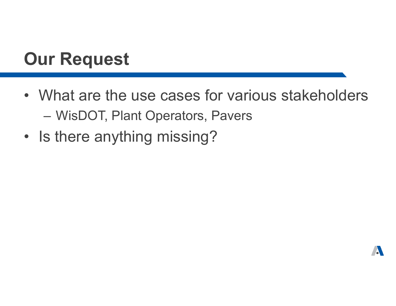### **Our Request**

- What are the use cases for various stakeholders $\mathcal{L}_{\mathcal{A}}$  , where  $\mathcal{L}_{\mathcal{A}}$  is the set of the set of the set of the set of the set of the set of the set of the set of the set of the set of the set of the set of the set of the set of the set of the set of the WisDOT, Plant Operators, Pavers
- Is there anything missing?